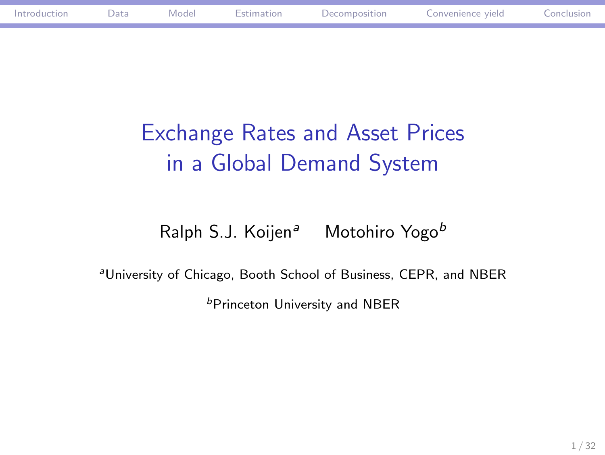# Exchange Rates and Asset Prices in a Global Demand System

Ralph S.J. Koijen<sup>a</sup> Motohiro Yogo<sup>b</sup>

<sup>a</sup>University of Chicago, Booth School of Business, CEPR, and NBER  ${}^b$ Princeton University and NBER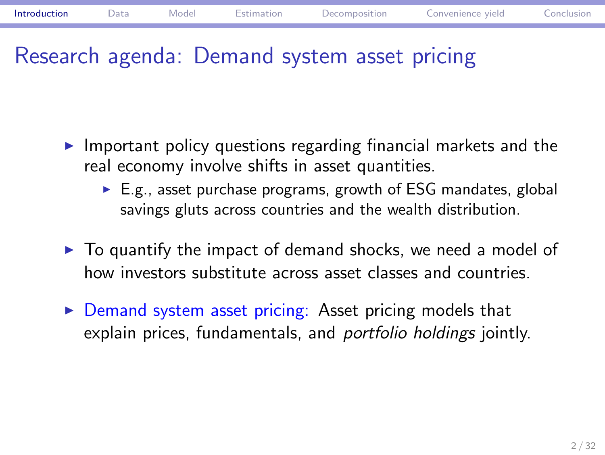## Research agenda: Demand system asset pricing

- $\blacktriangleright$  Important policy questions regarding financial markets and the real economy involve shifts in asset quantities.
	- $\blacktriangleright$  E.g., asset purchase programs, growth of ESG mandates, global savings gluts across countries and the wealth distribution.
- $\triangleright$  To quantify the impact of demand shocks, we need a model of how investors substitute across asset classes and countries.
- $\triangleright$  Demand system asset pricing: Asset pricing models that explain prices, fundamentals, and portfolio holdings jointly.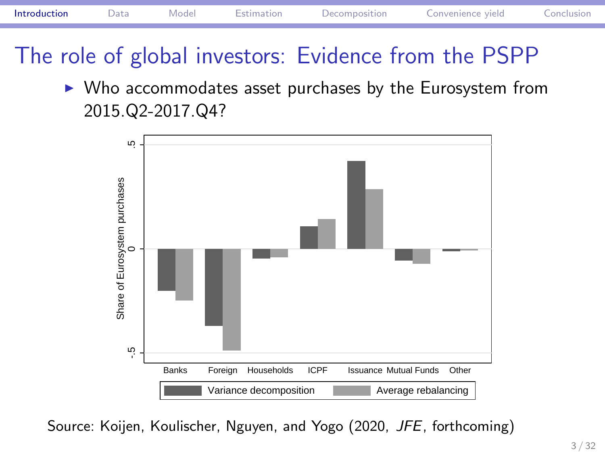

# The role of global investors: Evidence from the PSPP



 $\blacktriangleright$  Who accommodates asset purchases by the Eurosystem from 2015.Q2-2017.Q4?

Source: Koijen, Koulischer, Nguyen, and Yogo (2020, JFE, forthcoming)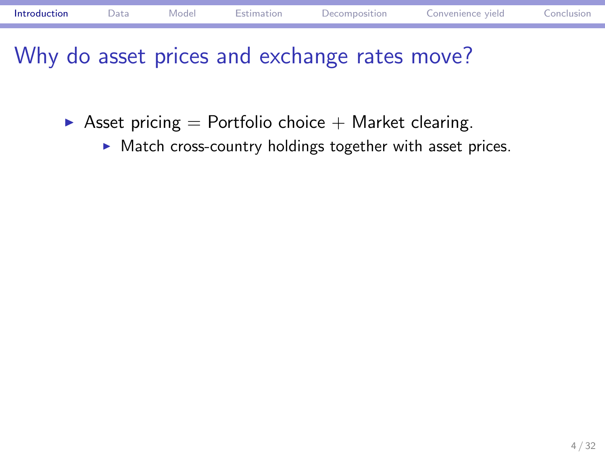# Why do asset prices and exchange rates move?

- $\blacktriangleright$  Asset pricing = Portfolio choice + Market clearing.
	- $\blacktriangleright$  Match cross-country holdings together with asset prices.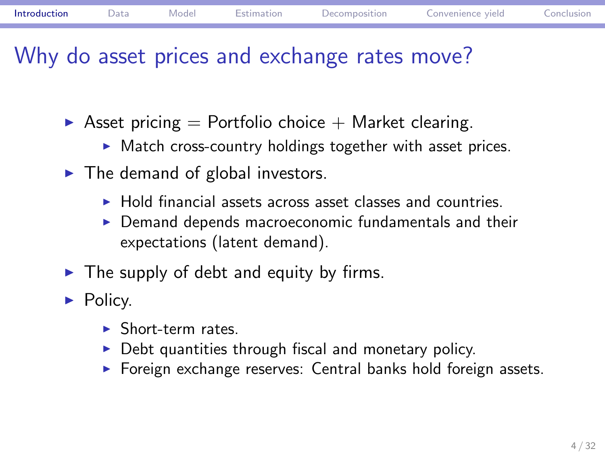## Why do asset prices and exchange rates move?

- $\blacktriangleright$  Asset pricing = Portfolio choice + Market clearing.
	- $\blacktriangleright$  Match cross-country holdings together with asset prices.
- $\blacktriangleright$  The demand of global investors.
	- $\blacktriangleright$  Hold financial assets across asset classes and countries.
	- $\triangleright$  Demand depends macroeconomic fundamentals and their expectations (latent demand).
- $\blacktriangleright$  The supply of debt and equity by firms.
- $\blacktriangleright$  Policy.
	- $\blacktriangleright$  Short-term rates.
	- $\triangleright$  Debt quantities through fiscal and monetary policy.
	- $\blacktriangleright$  Foreign exchange reserves: Central banks hold foreign assets.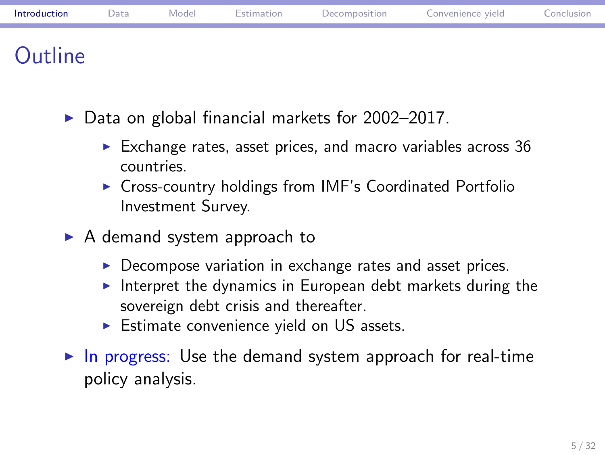### **Outline**

- $\triangleright$  Data on global financial markets for 2002-2017.
	- $\blacktriangleright$  Exchange rates, asset prices, and macro variables across 36 countries.
	- ▶ Cross-country holdings from IMF's Coordinated Portfolio Investment Survey.
- $\blacktriangleright$  A demand system approach to
	- $\triangleright$  Decompose variation in exchange rates and asset prices.
	- Interpret the dynamics in European debt markets during the sovereign debt crisis and thereafter.
	- $\triangleright$  Estimate convenience yield on US assets.
- $\blacktriangleright$  In progress: Use the demand system approach for real-time policy analysis.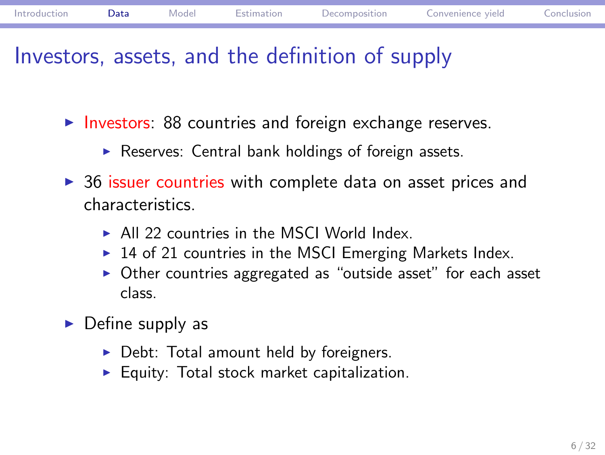## Investors, assets, and the definition of supply

- $\blacktriangleright$  Investors: 88 countries and foreign exchange reserves.
	- $\blacktriangleright$  Reserves: Central bank holdings of foreign assets.
- $\triangleright$  36 issuer countries with complete data on asset prices and characteristics.
	- $\blacktriangleright$  All 22 countries in the MSCI World Index.
	- $\blacktriangleright$  14 of 21 countries in the MSCI Emerging Markets Index.
	- $\triangleright$  Other countries aggregated as "outside asset" for each asset class.
- $\blacktriangleright$  Define supply as
	- $\blacktriangleright$  Debt: Total amount held by foreigners.
	- $\blacktriangleright$  Equity: Total stock market capitalization.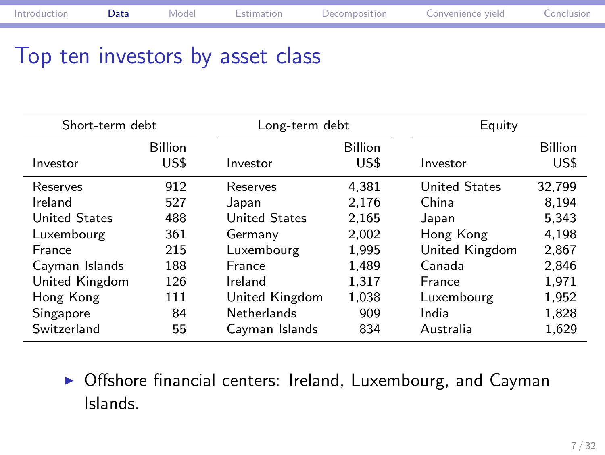# Top ten investors by asset class

| Short-term debt      |                        | Long-term debt       |                        | Equity               |                        |  |
|----------------------|------------------------|----------------------|------------------------|----------------------|------------------------|--|
| Investor             | <b>Billion</b><br>US\$ | Investor             | <b>Billion</b><br>US\$ | Investor             | <b>Billion</b><br>US\$ |  |
| Reserves             | 912                    | Reserves             | 4.381                  | <b>United States</b> | 32.799                 |  |
| Ireland              | 527                    | Japan                | 2.176                  | China                | 8.194                  |  |
| <b>United States</b> | 488                    | <b>United States</b> | 2.165                  | Japan                | 5.343                  |  |
| Luxembourg           | 361                    | Germany              | 2,002                  | Hong Kong            | 4,198                  |  |
| France               | 215                    | Luxembourg           | 1.995                  | United Kingdom       | 2,867                  |  |
| Cayman Islands       | 188                    | France               | 1.489                  | Canada               | 2.846                  |  |
| United Kingdom       | 126                    | Ireland              | 1.317                  | France               | 1,971                  |  |
| Hong Kong            | 111                    | United Kingdom       | 1.038                  | Luxembourg           | 1,952                  |  |
| Singapore            | 84                     | <b>Netherlands</b>   | 909                    | India                | 1,828                  |  |
| Switzerland          | 55                     | Cayman Islands       | 834                    | Australia            | 1,629                  |  |

 $\triangleright$  Offshore financial centers: Ireland, Luxembourg, and Cayman Islands.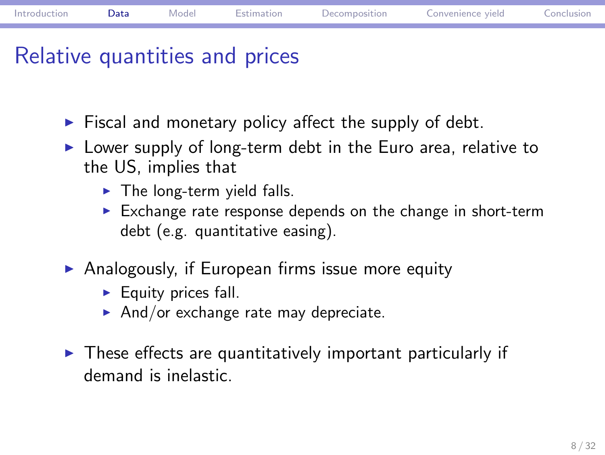### Relative quantities and prices

- $\blacktriangleright$  Fiscal and monetary policy affect the supply of debt.
- $\triangleright$  Lower supply of long-term debt in the Euro area, relative to the US, implies that
	- $\blacktriangleright$  The long-term yield falls.
	- $\blacktriangleright$  Exchange rate response depends on the change in short-term debt (e.g. quantitative easing).
- $\blacktriangleright$  Analogously, if European firms issue more equity
	- $\blacktriangleright$  Equity prices fall.
	- And/or exchange rate may depreciate.
- $\blacktriangleright$  These effects are quantitatively important particularly if demand is inelastic.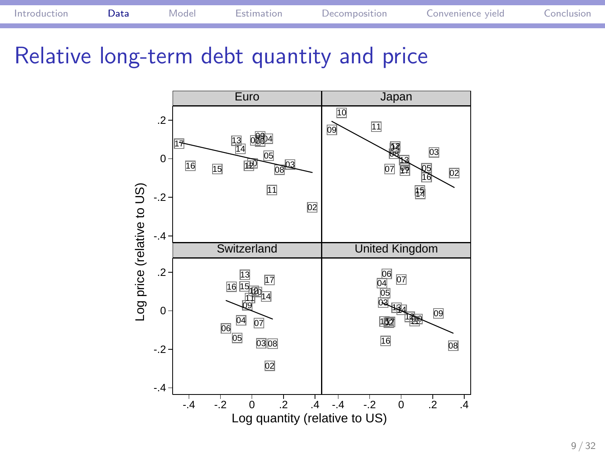



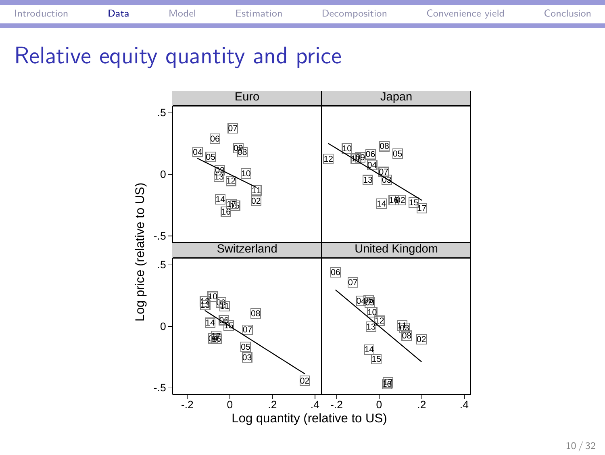

# Relative equity quantity and price

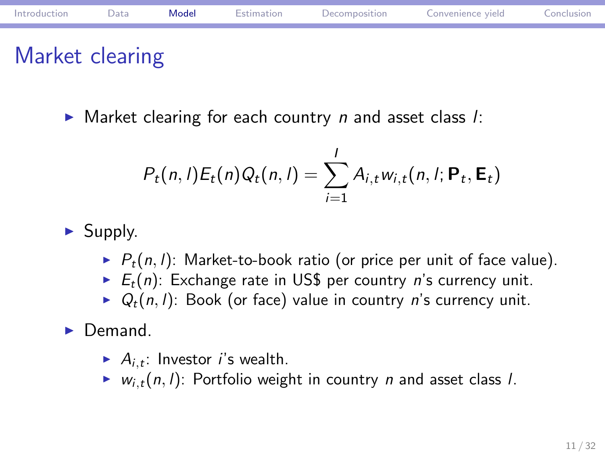## Market clearing

 $\blacktriangleright$  Market clearing for each country n and asset class  $l$ :

$$
P_t(n,l)E_t(n)Q_t(n,l)=\sum_{i=1}^l A_{i,t}w_{i,t}(n,l; \mathbf{P}_t, \mathbf{E}_t)
$$

- $\blacktriangleright$  Supply.
	- $\blacktriangleright$   $P_t(n, l)$ : Market-to-book ratio (or price per unit of face value).
	- $\blacktriangleright$   $E_t(n)$ : Exchange rate in US\$ per country n's currency unit.
	- $\blacktriangleright Q_t(n, l)$ : Book (or face) value in country n's currency unit.
- $\blacktriangleright$  Demand.
	- $\blacktriangleright$   $A_{i,t}$ : Investor *i*'s wealth.
	- $\blacktriangleright$   $w_{i,t}(n, l)$ : Portfolio weight in country *n* and asset class *l*.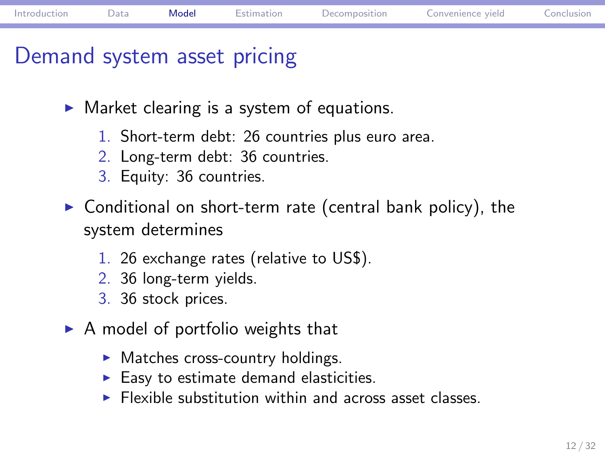### Demand system asset pricing

- $\blacktriangleright$  Market clearing is a system of equations.
	- 1. Short-term debt: 26 countries plus euro area.
	- 2. Long-term debt: 36 countries.
	- 3. Equity: 36 countries.
- $\triangleright$  Conditional on short-term rate (central bank policy), the system determines
	- 1. 26 exchange rates (relative to US\$).
	- 2. 36 long-term yields.
	- 3. 36 stock prices.
- $\triangleright$  A model of portfolio weights that
	- $\blacktriangleright$  Matches cross-country holdings.
	- $\blacktriangleright$  Easy to estimate demand elasticities.
	- $\blacktriangleright$  Flexible substitution within and across asset classes.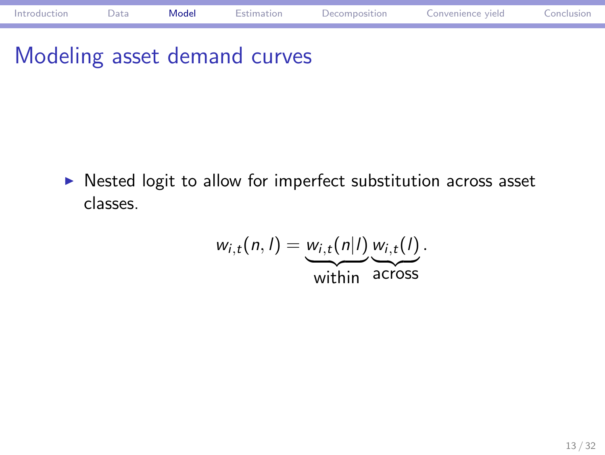# Modeling asset demand curves

 $\triangleright$  Nested logit to allow for imperfect substitution across asset classes.

> $w_{i,t}(n, l) = \underbrace{w_{i,t}(n|l)}_{\text{within}}$  $w_{i,t}(l)$ across .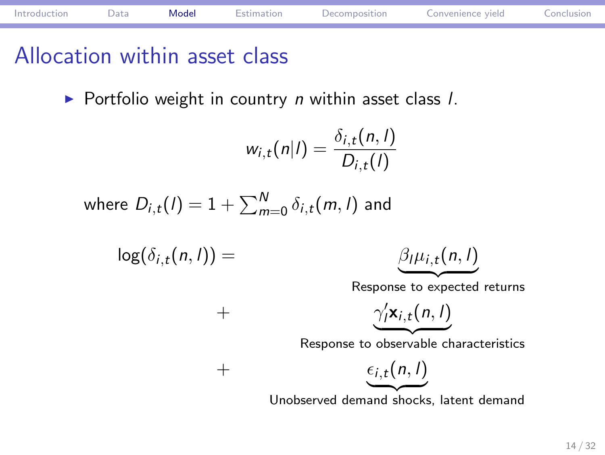### Allocation within asset class

 $\blacktriangleright$  Portfolio weight in country *n* within asset class *l*.

$$
w_{i,t}(n|I)=\frac{\delta_{i,t}(n,I)}{D_{i,t}(I)}
$$

where  $D_{i,t}(I)=1+\sum_{m=0}^N \delta_{i,t}(m,I)$  and

$$
\log(\delta_{i,t}(n,l)) = \qquad \qquad \frac{\beta_l \mu_{i,t}(n,l)}{\beta_l \mu_{i,t}(n,l)}
$$

$$
\mu_{i,t}(n,l)
$$

Response to expected returns

$$
+\qquad \qquad \frac{\gamma_l'\mathbf{x}_{i,t}(n,l)}{\gamma_l'\mathbf{x}_{i,t}(n,l)}
$$

Response to observable characteristics

$$
+\qquad \qquad \epsilon_{i,t}(n,l)
$$

Unobserved demand shocks, latent demand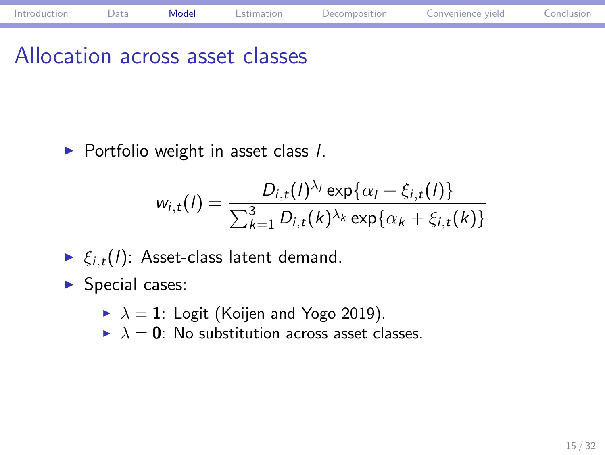# Allocation across asset classes

 $\blacktriangleright$  Portfolio weight in asset class  $I$ .

$$
w_{i,t}(I) = \frac{D_{i,t}(I)^{\lambda_i} \exp{\{\alpha_I + \xi_{i,t}(I)\}}}{\sum_{k=1}^3 D_{i,t}(k)^{\lambda_k} \exp{\{\alpha_k + \xi_{i,t}(k)\}}}
$$

Introduction Data Model Estimation Decomposition Convenience yield Conclusion

- $\blacktriangleright \xi_{i,t}(l)$ : Asset-class latent demand.
- $\blacktriangleright$  Special cases:
	- $\blacktriangleright$   $\lambda = 1$ : Logit (Koijen and Yogo 2019).
	- $\blacktriangleright$   $\lambda = 0$ : No substitution across asset classes.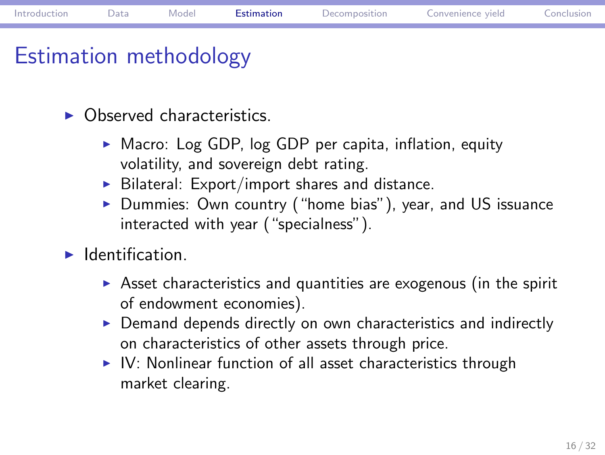## Estimation methodology

- $\triangleright$  Observed characteristics.
	- $\blacktriangleright$  Macro: Log GDP, log GDP per capita, inflation, equity volatility, and sovereign debt rating.
	- $\triangleright$  Bilateral: Export/import shares and distance.
	- $\blacktriangleright$  Dummies: Own country ("home bias"), year, and US issuance interacted with year ("specialness").
- $\blacktriangleright$  Identification.
	- $\triangleright$  Asset characteristics and quantities are exogenous (in the spirit of endowment economies).
	- $\triangleright$  Demand depends directly on own characteristics and indirectly on characteristics of other assets through price.
	- $\triangleright$  IV: Nonlinear function of all asset characteristics through market clearing.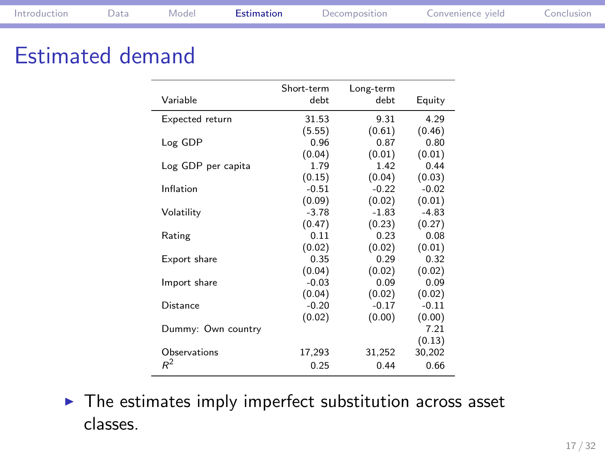# Estimated demand

|                    | Short-term | Long-term |         |
|--------------------|------------|-----------|---------|
| Variable           | debt       | debt      | Equity  |
| Expected return    | 31.53      | 9.31      | 4.29    |
|                    | (5.55)     | (0.61)    | (0.46)  |
| Log GDP            | 0.96       | 0.87      | 0.80    |
|                    | (0.04)     | (0.01)    | (0.01)  |
| Log GDP per capita | 1.79       | 1.42      | 0.44    |
|                    | (0.15)     | (0.04)    | (0.03)  |
| Inflation          | $-0.51$    | $-0.22$   | $-0.02$ |
|                    | (0.09)     | (0.02)    | (0.01)  |
| Volatility         | $-3.78$    | $-1.83$   | $-4.83$ |
|                    | (0.47)     | (0.23)    | (0.27)  |
| Rating             | 0.11       | 0.23      | 0.08    |
|                    | (0.02)     | (0.02)    | (0.01)  |
| Export share       | 0.35       | 0.29      | 0.32    |
|                    | (0.04)     | (0.02)    | (0.02)  |
| Import share       | $-0.03$    | 0.09      | 0.09    |
|                    | (0.04)     | (0.02)    | (0.02)  |
| Distance           | $-0.20$    | $-0.17$   | $-0.11$ |
|                    | (0.02)     | (0.00)    | (0.00)  |
| Dummy: Own country |            |           | 7.21    |
|                    |            |           | (0.13)  |
| Observations       | 17,293     | 31,252    | 30,202  |
| $R^2$              | 0.25       | 0.44      | 0.66    |

 $\blacktriangleright$  The estimates imply imperfect substitution across asset classes.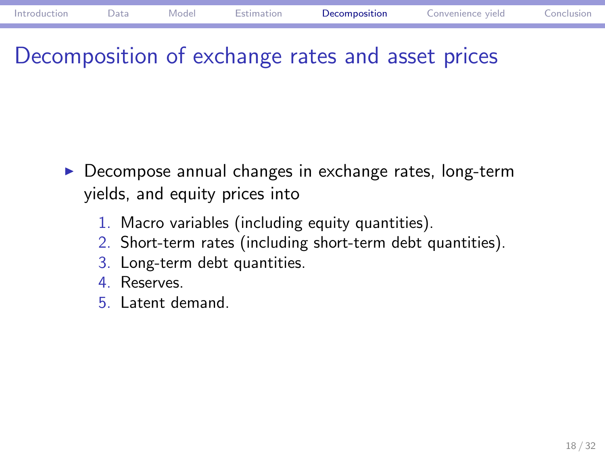## Decomposition of exchange rates and asset prices

- $\blacktriangleright$  Decompose annual changes in exchange rates, long-term yields, and equity prices into
	- 1. Macro variables (including equity quantities).
	- 2. Short-term rates (including short-term debt quantities).
	- 3. Long-term debt quantities.
	- 4. Reserves.
	- 5. Latent demand.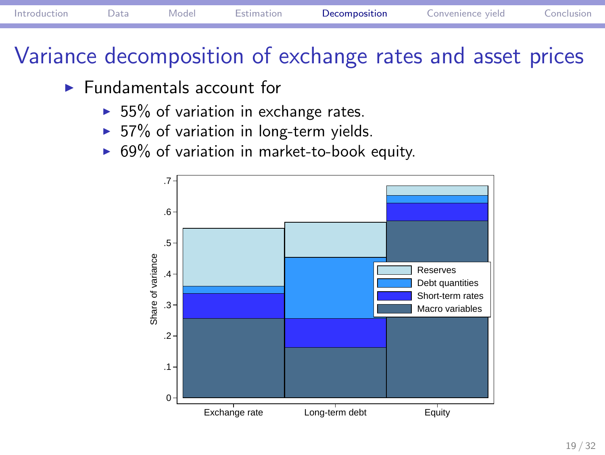# Variance decomposition of exchange rates and asset prices

- $\blacktriangleright$  Fundamentals account for
	- $\blacktriangleright$  55% of variation in exchange rates.
	- $\blacktriangleright$  57% of variation in long-term yields.
	- $\triangleright$  69% of variation in market-to-book equity.

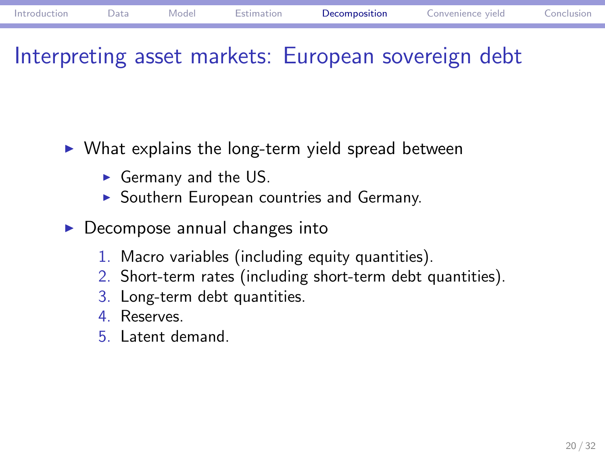## Interpreting asset markets: European sovereign debt

- $\blacktriangleright$  What explains the long-term yield spread between
	- $\blacktriangleright$  Germany and the US.
	- $\blacktriangleright$  Southern European countries and Germany.
- $\blacktriangleright$  Decompose annual changes into
	- 1. Macro variables (including equity quantities).
	- 2. Short-term rates (including short-term debt quantities).
	- 3. Long-term debt quantities.
	- 4. Reserves.
	- 5. Latent demand.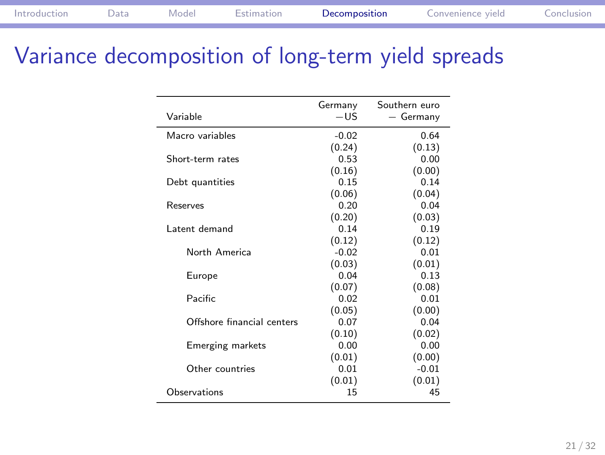# Variance decomposition of long-term yield spreads

|                            | Germany | Southern euro |
|----------------------------|---------|---------------|
| Variable                   | $-US$   | - Germany     |
| Macro variables            | $-0.02$ | 0.64          |
|                            | (0.24)  | (0.13)        |
| Short-term rates           | 0.53    | 0.00          |
|                            | (0.16)  | (0.00)        |
| Debt quantities            | 0.15    | 0.14          |
|                            | (0.06)  | (0.04)        |
| Reserves                   | 0.20    | 0.04          |
|                            | (0.20)  | (0.03)        |
| Latent demand              | 0.14    | 0.19          |
|                            | (0.12)  | (0.12)        |
| North America              | $-0.02$ | 0.01          |
|                            | (0.03)  | (0.01)        |
| Europe                     | 0.04    | 0.13          |
|                            | (0.07)  | (0.08)        |
| Pacific                    | 0.02    | 0.01          |
|                            | (0.05)  | (0.00)        |
| Offshore financial centers | 0.07    | 0.04          |
|                            | (0.10)  | (0.02)        |
| <b>Emerging markets</b>    | 0.00    | 0.00          |
|                            | (0.01)  | (0.00)        |
| Other countries            | 0.01    | $-0.01$       |
|                            | (0.01)  | (0.01)        |
| Observations               | 15      | 45            |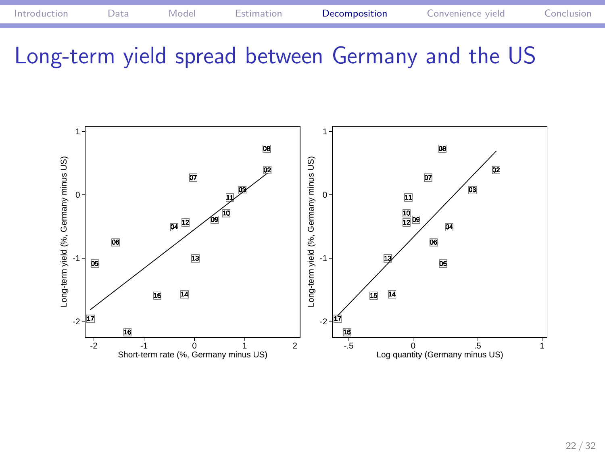

Long-term yield spread between Germany and the US

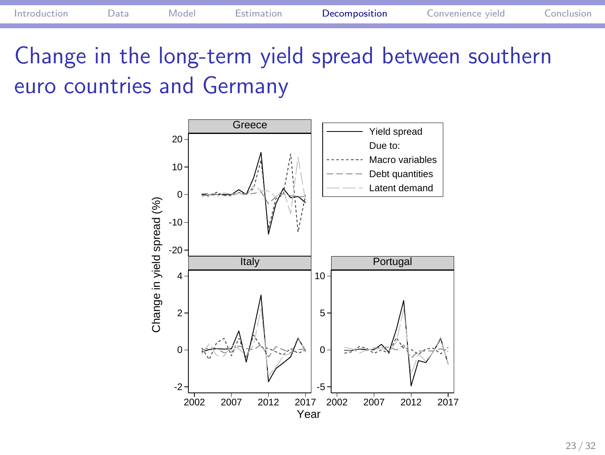

Change in the long-term yield spread between southern euro countries and Germany

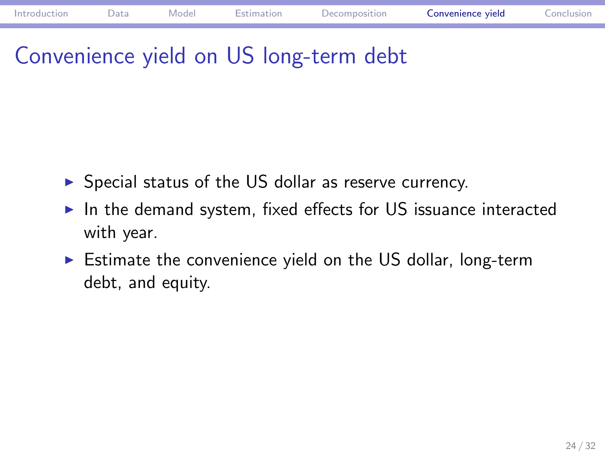# Convenience yield on US long-term debt

- $\blacktriangleright$  Special status of the US dollar as reserve currency.
- $\blacktriangleright$  In the demand system, fixed effects for US issuance interacted with year.
- $\blacktriangleright$  Estimate the convenience yield on the US dollar, long-term debt, and equity.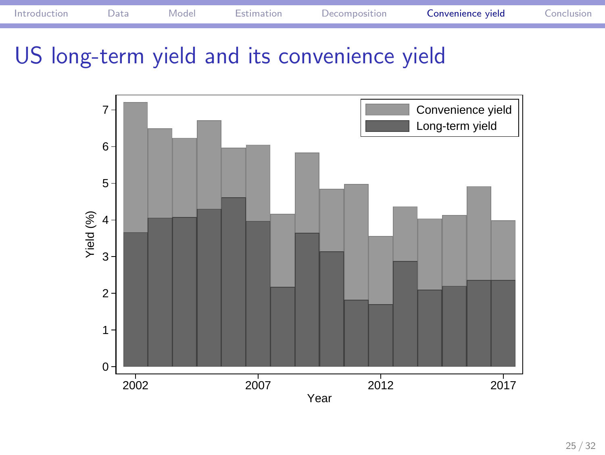

# US long-term yield and its convenience yield

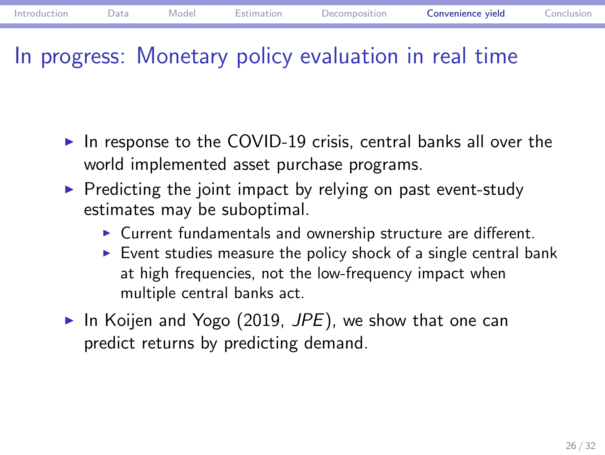### In progress: Monetary policy evaluation in real time

- $\blacktriangleright$  In response to the COVID-19 crisis, central banks all over the world implemented asset purchase programs.
- $\blacktriangleright$  Predicting the joint impact by relying on past event-study estimates may be suboptimal.
	- $\triangleright$  Current fundamentals and ownership structure are different.
	- $\blacktriangleright$  Event studies measure the policy shock of a single central bank at high frequencies, not the low-frequency impact when multiple central banks act.
- In Koijen and Yogo (2019,  $JPE$ ), we show that one can predict returns by predicting demand.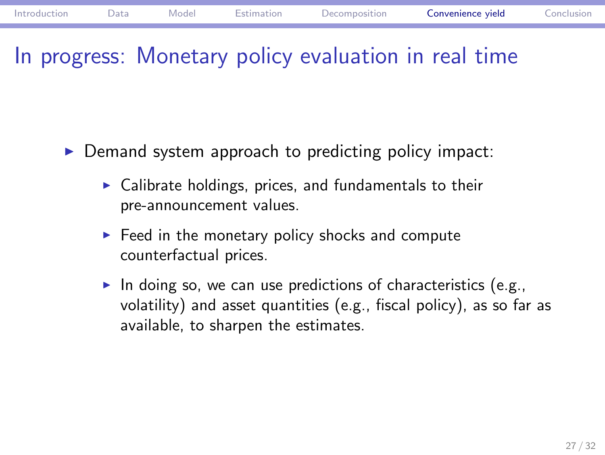## In progress: Monetary policy evaluation in real time

- $\triangleright$  Demand system approach to predicting policy impact:
	- $\blacktriangleright$  Calibrate holdings, prices, and fundamentals to their pre-announcement values.
	- $\blacktriangleright$  Feed in the monetary policy shocks and compute counterfactual prices.
	- In doing so, we can use predictions of characteristics (e.g., volatility) and asset quantities (e.g., fiscal policy), as so far as available, to sharpen the estimates.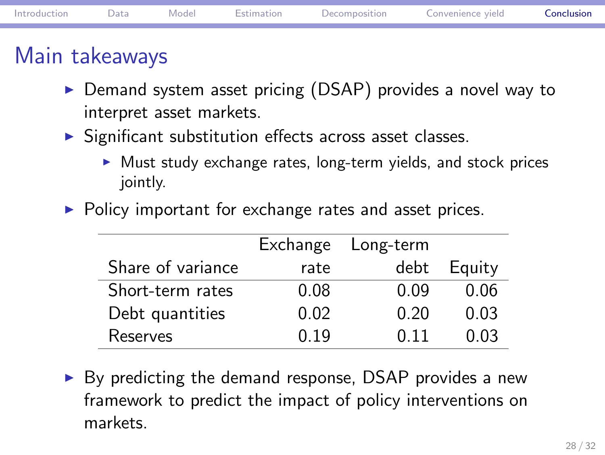### Main takeaways

- ▶ Demand system asset pricing (DSAP) provides a novel way to interpret asset markets.
- $\triangleright$  Significant substitution effects across asset classes.
	- $\blacktriangleright$  Must study exchange rates, long-term yields, and stock prices jointly.
- $\blacktriangleright$  Policy important for exchange rates and asset prices.

|                   |      | Exchange Long-term |        |
|-------------------|------|--------------------|--------|
| Share of variance | rate | debt               | Equity |
| Short-term rates  | 0.08 | 0.09               | 0.06   |
| Debt quantities   | 0.02 | 0.20               | 0.03   |
| Reserves          | በ 19 | በ 11               | 0 03   |

 $\triangleright$  By predicting the demand response, DSAP provides a new framework to predict the impact of policy interventions on markets.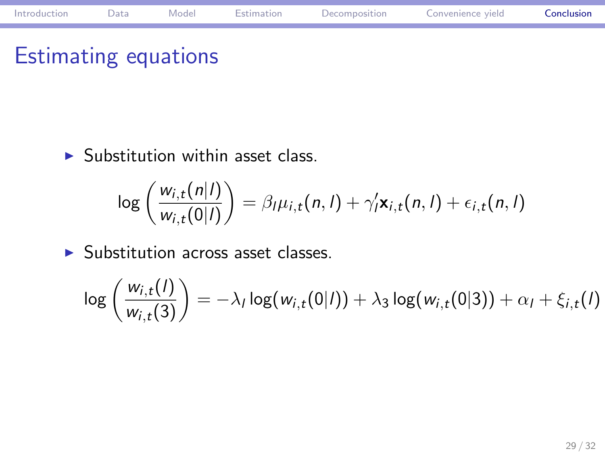# Estimating equations

 $\blacktriangleright$  Substitution within asset class.

$$
\log\left(\frac{w_{i,t}(n|l)}{w_{i,t}(0|l)}\right) = \beta_l \mu_{i,t}(n,l) + \gamma'_l \mathbf{x}_{i,t}(n,l) + \epsilon_{i,t}(n,l)
$$

Introduction Data Model Estimation Decomposition Convenience yield Conclusion

 $\blacktriangleright$  Substitution across asset classes.

$$
\log\left(\frac{w_{i,t}(I)}{w_{i,t}(3)}\right) = -\lambda_I \log(w_{i,t}(0|I)) + \lambda_3 \log(w_{i,t}(0|3)) + \alpha_I + \xi_{i,t}(I)
$$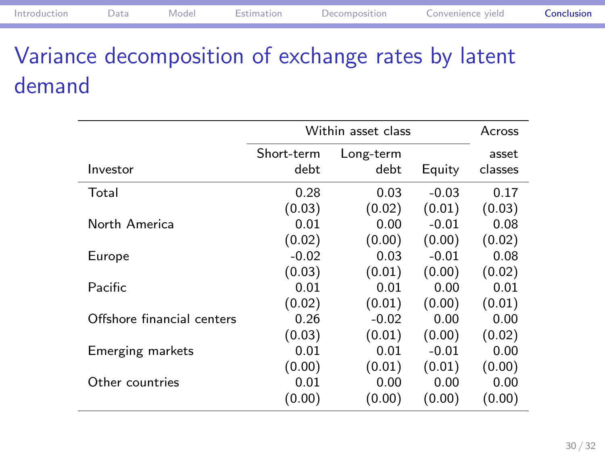# Variance decomposition of exchange rates by latent demand

|                            | Within asset class |           |         | Across  |
|----------------------------|--------------------|-----------|---------|---------|
|                            | Short-term         | Long-term |         | asset   |
| Investor                   | debt               | debt      | Equity  | classes |
| Total                      | 0.28               | 0.03      | $-0.03$ | 0.17    |
|                            | (0.03)             | (0.02)    | (0.01)  | (0.03)  |
| North America              | 0.01               | 0.00      | $-0.01$ | 0.08    |
|                            | (0.02)             | (0.00)    | (0.00)  | (0.02)  |
| Europe                     | $-0.02$            | 0.03      | $-0.01$ | 0.08    |
|                            | (0.03)             | (0.01)    | (0.00)  | (0.02)  |
| Pacific                    | 0.01               | 0.01      | 0.00    | 0.01    |
|                            | (0.02)             | (0.01)    | (0.00)  | (0.01)  |
| Offshore financial centers | 0.26               | $-0.02$   | 0.00    | 0.00    |
|                            | (0.03)             | (0.01)    | (0.00)  | (0.02)  |
| Emerging markets           | 0.01               | 0.01      | $-0.01$ | 0.00    |
|                            | (0.00)             | (0.01)    | (0.01)  | (0.00)  |
| Other countries            | 0.01               | 0.00      | 0.00    | 0.00    |
|                            | (0.00)             | (0.00)    | (0.00)  | (0.00)  |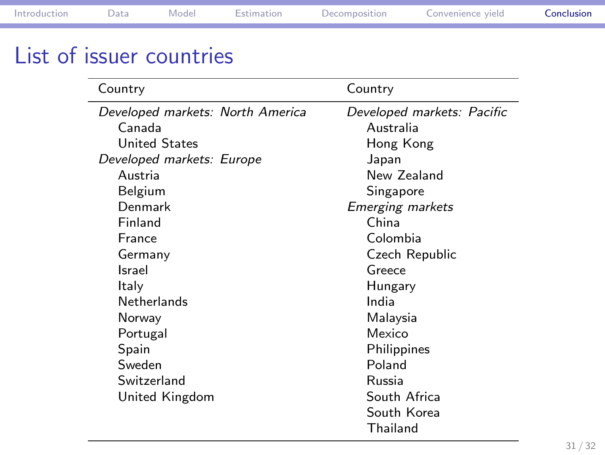# List of issuer countries

| Country                                          | Country                                                                    |
|--------------------------------------------------|----------------------------------------------------------------------------|
| Developed markets: North America                 | Developed markets: Pacific                                                 |
| Canada                                           | Australia                                                                  |
| <b>United States</b>                             | Hong Kong                                                                  |
| Developed markets: Europe                        | Japan                                                                      |
| Austria                                          | New Zealand                                                                |
| Belgium                                          | Singapore                                                                  |
| Denmark                                          | Emerging markets                                                           |
| Finland                                          | China                                                                      |
| France                                           | Colombia                                                                   |
| Germany                                          | Czech Republic                                                             |
| Israel                                           | Greece                                                                     |
| Italy                                            | Hungary                                                                    |
| <b>Netherlands</b>                               | India                                                                      |
| Norway                                           | Malaysia                                                                   |
| Portugal                                         | Mexico                                                                     |
| Spain<br>Sweden<br>Switzerland<br>United Kingdom | Philippines<br>Poland<br>Russia<br>South Africa<br>South Korea<br>Thailand |